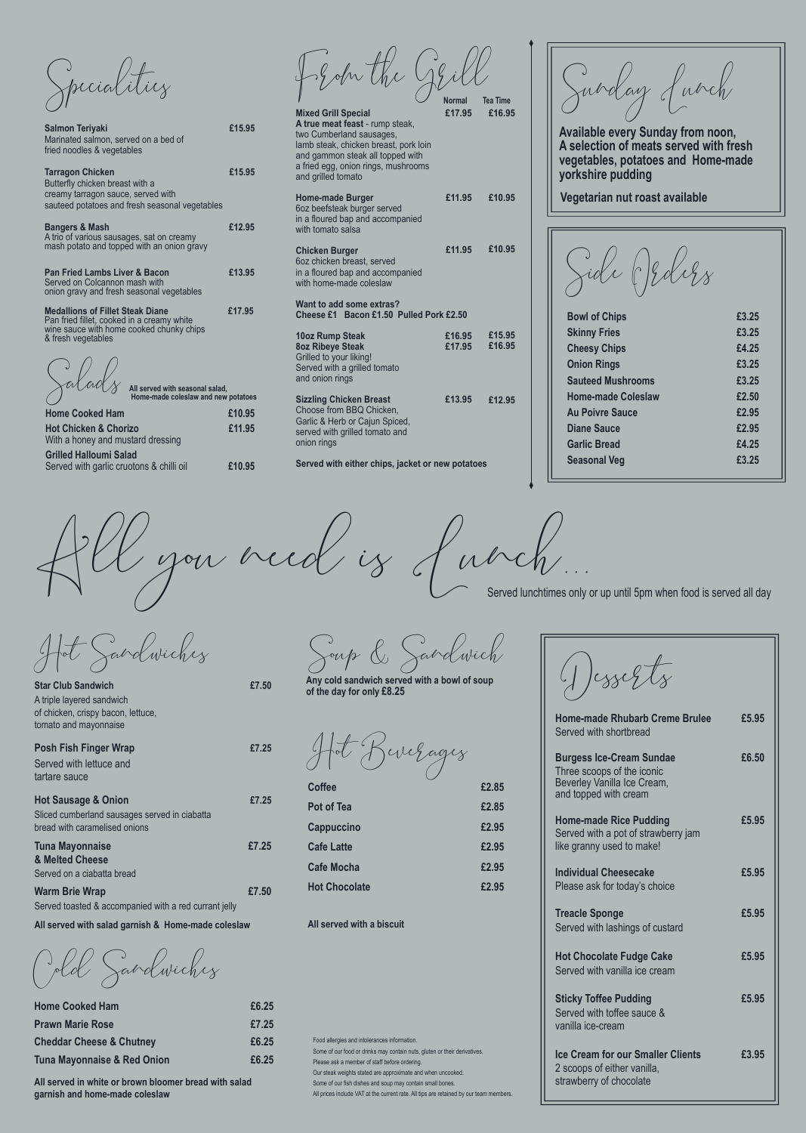Desserts

**Home-made Rhubarb Creme Brulee £5.95** Served with shortbread

| <b>Burgess Ice-Cream Sundae</b>                                                    | £6.50 |
|------------------------------------------------------------------------------------|-------|
| Three scoops of the iconic<br>Beverley Vanilla Ice Cream,<br>and topped with cream |       |
|                                                                                    |       |

**Home-made Rice Pudding £5.95** Served with a pot of strawberry jam

| like granny used to make!                                                                          |       |
|----------------------------------------------------------------------------------------------------|-------|
| <b>Individual Cheesecake</b><br>Please ask for today's choice                                      | £5.95 |
| <b>Treacle Sponge</b><br>Served with lashings of custard                                           | £5.95 |
| <b>Hot Chocolate Fudge Cake</b><br>Served with vanilla ice cream                                   | £5.95 |
| <b>Sticky Toffee Pudding</b><br>Served with toffee sauce &<br>vanilla ice-cream                    | £5.95 |
| <b>Ice Cream for our Smaller Clients</b><br>2 scoops of either vanilla,<br>strawberry of chocolate | £3.95 |

**Star Club Sandwich** <br>**E7.50** A triple layered sandwich of chicken, crispy bacon, lettuce, tomato and mayonnaise

| <b>Posh Fish Finger Wrap</b><br>Served with lettuce and<br>tartare sauce                                         | £7.25 |
|------------------------------------------------------------------------------------------------------------------|-------|
| <b>Hot Sausage &amp; Onion</b><br>Sliced cumberland sausages served in ciabatta<br>bread with caramelised onions | £7.25 |

All you need is Lunch... Served lunchtimes only or up until 5pm when food is served all day

| <b>Tuna Mayonnaise</b>                                | £7.25 |
|-------------------------------------------------------|-------|
| & Melted Cheese                                       |       |
| Served on a ciabatta bread                            |       |
| <b>Warm Brie Wrap</b>                                 | £7.50 |
| Served toasted & accompanied with a red currant jelly |       |
|                                                       |       |

**All served with salad garnish & Home-made coleslaw**

| <b>Home Cooked Ham</b>                 | £6.25 |  |
|----------------------------------------|-------|--|
| <b>Prawn Marie Rose</b>                | £7.25 |  |
| <b>Cheddar Cheese &amp; Chutney</b>    | £6.25 |  |
| <b>Tuna Mayonnaise &amp; Red Onion</b> | £6.25 |  |

**All served in white or brown bloomer bread with salad garnish and home-made coleslaw**

Soup & Sandwich

**Any cold sandwich served with a bowl of soup of the day for only £8.25**

Hot Beverages

**Coffee £2.85**

From the Grill **Mixed Grill Special A true meat feast** - rump steak, two Cumberland sausages, lamb steak, chicken breast, pork loin and gammon steak all topped with a fried egg, onion rings, mushrooms **£17.95 £16.95 Normal Tea Time**

| <b>TIULIIC OUUNCU HAIII</b>                                               | <u>210.JJ</u> |
|---------------------------------------------------------------------------|---------------|
| <b>Hot Chicken &amp; Chorizo</b><br>With a honey and mustard dressing     | £11.95        |
| <b>Grilled Halloumi Salad</b><br>Served with garlic cruotons & chilli oil | £10.95        |

Specialities

| <b>Salmon Teriyaki</b><br>Marinated salmon, served on a bed of<br>fried noodles & vegetables                                                            | £15.95        |  |  |  |
|---------------------------------------------------------------------------------------------------------------------------------------------------------|---------------|--|--|--|
| <b>Tarragon Chicken</b><br>Butterfly chicken breast with a<br>creamy tarragon sauce, served with<br>sauteed potatoes and fresh seasonal vegetables      | £15.95        |  |  |  |
| £12.95<br><b>Bangers &amp; Mash</b><br>A trio of various sausages, sat on creamy<br>mash potato and topped with an onion gravy                          |               |  |  |  |
| <b>Pan Fried Lambs Liver &amp; Bacon</b><br>Served on Colcannon mash with<br>onion gravy and fresh seasonal vegetables                                  | £13.95        |  |  |  |
| <b>Medallions of Fillet Steak Diane</b><br>Pan fried fillet, cooked in a creamy white<br>wine sauce with home cooked chunky chips<br>& fresh vegetables | £17.95        |  |  |  |
| All served with seasonal salad,<br>Home-made coleslaw and new potatoes                                                                                  |               |  |  |  |
| <b>Home Cooked Ham</b>                                                                                                                                  | £10.95        |  |  |  |
| Hot Chickan & Chorizo                                                                                                                                   | <b>£11 Q5</b> |  |  |  |

| <b>Pot of Tea</b>                                                                                                        | £2.85 |
|--------------------------------------------------------------------------------------------------------------------------|-------|
| <b>Cappuccino</b>                                                                                                        | £2.95 |
| <b>Cafe Latte</b>                                                                                                        | £2.95 |
| <b>Cafe Mocha</b>                                                                                                        | £2.95 |
| <b>Hot Chocolate</b>                                                                                                     | £2.95 |
| All served with a biscuit                                                                                                |       |
|                                                                                                                          |       |
|                                                                                                                          |       |
|                                                                                                                          |       |
|                                                                                                                          |       |
| Food allergies and intolerances information.                                                                             |       |
| Some of our food or drinks may contain nuts, gluten or their derivatives.                                                |       |
| Please ask a member of staff before ordering.                                                                            |       |
| Our steak weights stated are approximate and when uncooked.<br>Some of our fish dishes and soup may contain small bones. |       |
| All prices include VAT at the current rate. All tips are retained by our team members.                                   |       |
|                                                                                                                          |       |

| and grilled tomato                                                                                                                            |                  |                  |  |
|-----------------------------------------------------------------------------------------------------------------------------------------------|------------------|------------------|--|
| <b>Home-made Burger</b><br>6oz beefsteak burger served<br>in a floured bap and accompanied<br>with tomato salsa                               | £11.95           | £10.95           |  |
| <b>Chicken Burger</b><br>6oz chicken breast, served<br>in a floured bap and accompanied<br>with home-made coleslaw                            | £11.95           | £10.95           |  |
| Want to add some extras?<br>Cheese £1 Bacon £1.50 Pulled Pork £2.50                                                                           |                  |                  |  |
| <b>10oz Rump Steak</b><br><b>8oz Ribeye Steak</b><br>Grilled to your liking!<br>Served with a grilled tomato<br>and onion rings               | £16.95<br>£17.95 | £15.95<br>£16.95 |  |
| <b>Sizzling Chicken Breast</b><br>Choose from BBQ Chicken,<br>Garlic & Herb or Cajun Spiced,<br>served with grilled tomato and<br>onion rings | £13.95           | £12.95           |  |

**Served with either chips, jacket or new potatoes**

| <b>Bowl of Chips</b>      | £3.25 |
|---------------------------|-------|
|                           | £3.25 |
| <b>Skinny Fries</b>       |       |
| <b>Cheesy Chips</b>       | £4.25 |
| <b>Onion Rings</b>        | £3.25 |
| <b>Sauteed Mushrooms</b>  | £3.25 |
| <b>Home-made Coleslaw</b> | £2.50 |
| <b>Au Poivre Sauce</b>    | £2.95 |
| <b>Diane Sauce</b>        | £2.95 |
| <b>Garlic Bread</b>       | £4.25 |
| <b>Seasonal Veg</b>       | £3.25 |
|                           |       |

Hot Sandwiches

Cold Sandwiches

Sunday Lunch

**Available every Sunday from noon, A selection of meats served with fresh vegetables, potatoes and Home-made yorkshire pudding**

**Vegetarian nut roast available**

ide (Jeders